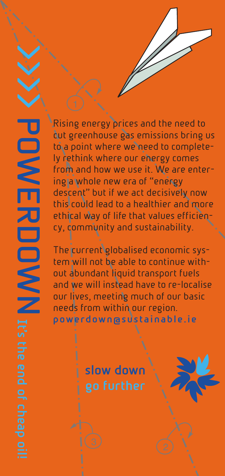**P O W E R D O W N**

Rising energy prices and the need to cut greenhouse gas emissions bring us to a point where we need to completely rethink where our energy comes from and how we use it. We are entering a whole new era of "energy descent" but if we act decisively now this could lead to a healthier and more ethical way of life that values efficiency, community and sustainability.

The current globalised economic system will not be able to continue without abundant liquid transport fuels and we will instead have to re-localise our lives, meeting much of our basic needs from within our region. **powerdown@sustainable.ie**

**slow down**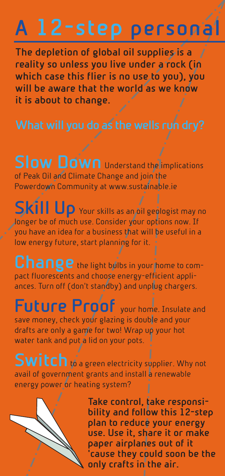# **A 12-step personal Powerdown plan**

**The depletion of global oil supplies is a reality so unless you live under a rock (in which case this flier is no use to you), you will be aware that the world as we know it is about to change.** 

**Slow Down** Understand the *implications* of Peak Oil and Climate Change and join the Powerdown Community at www.sustainable.ie

**Skill Up** Your skills as an oil geologist may no longer be of much use. Consider your options now. If you have an idea for a business that will be useful in a low energy future, start planning for it.

Change the light bulbs in your home to compact fluorescents and choose energy-efficient appliances. Turn off (don't standby) and unplug chargers.

Future Proof your home. Insulate and save money, check your glazing is double and your drafts are only a game for two! Wrap up your hot water tank and put a lid on your pots.

**Switch** to a green electricity supplier. Why not avail of government grants and install a renewable energy power or heating system?



**Take control, take responsibility and follow this 12-step plan to reduce your energy use. Use it, share it or make paper airplanes out of it 'cause they could soon be the only crafts in the air.**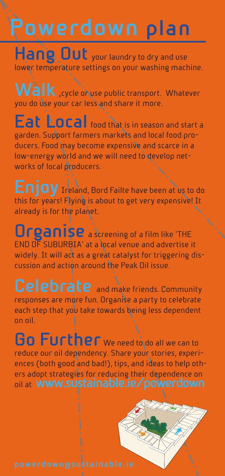# **l Powerdown plan**

**Hang Out** your laundry to dry and use lower temperature settings on your washing machine.

Walk<sub>, cycle</sub> or use public transport. Whatever you do use your car less and share it more.

**Eat Local** food that is in season and start a garden. Support farmers markets and local food producers. Food may become expensive and scarce in a low-energy world and we will need to develop networks of local producers.

**Enjoy** Ireland, Bord Failte have been at us to do this for years! Flying is about to get very expensive! It already is for the planet.

**Urganise** a screening of a film like 'THE END OF SUBURBIA' at a local venue and advertise it widely. It will act as a great catalyst for triggering discussion and action around the Peak Oil issue.

**Celebrate** and make friends. Community responses are more fun. Organise a party to celebrate each step that you take towards being less dependent on oil.

**Go Further** We need to do all we can to reduce our oil dependency. Share your stories, experiences (both good and bad!), tips, and ideas to help others adopt strategies for reducing their dependence on oil at **www.sustainable.ie/powerdown**